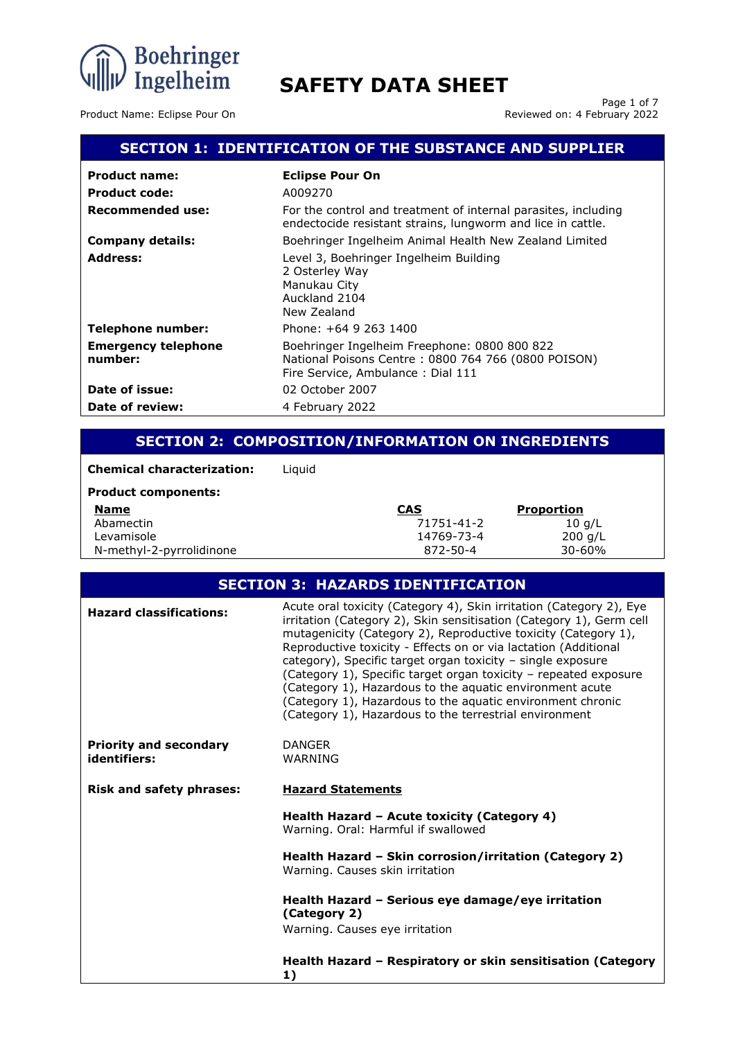

Page 1 of 7<br>Reviewed on: 4 February 2022

### **SECTION 1: IDENTIFICATION OF THE SUBSTANCE AND SUPPLIER**

| <b>Product name:</b><br><b>Product code:</b> | <b>Eclipse Pour On</b><br>A009270                                                                                                        |
|----------------------------------------------|------------------------------------------------------------------------------------------------------------------------------------------|
| <b>Recommended use:</b>                      | For the control and treatment of internal parasites, including<br>endectocide resistant strains, lungworm and lice in cattle.            |
| <b>Company details:</b>                      | Boehringer Ingelheim Animal Health New Zealand Limited                                                                                   |
| <b>Address:</b>                              | Level 3, Boehringer Ingelheim Building<br>2 Osterley Way<br>Manukau City<br>Auckland 2104<br>New Zealand                                 |
| Telephone number:                            | Phone: +64 9 263 1400                                                                                                                    |
| <b>Emergency telephone</b><br>number:        | Boehringer Ingelheim Freephone: 0800 800 822<br>National Poisons Centre: 0800 764 766 (0800 POISON)<br>Fire Service, Ambulance: Dial 111 |
| Date of issue:                               | 02 October 2007                                                                                                                          |
| Date of review:                              | 4 February 2022                                                                                                                          |

### **SECTION 2: COMPOSITION/INFORMATION ON INGREDIENTS**

**Chemical characterization:** Liquid

# **Product components:**

| <b>Name</b>              | <b>CAS</b> | <b>Proportion</b> |
|--------------------------|------------|-------------------|
| Abamectin                | 71751-41-2 | 10 q/L            |
| Levamisole               | 14769-73-4 | $200$ g/L         |
| N-methyl-2-pyrrolidinone | 872-50-4   | $30 - 60%$        |

|                                               | <b>SECTION 3: HAZARDS IDENTIFICATION</b>                                                                                                                                                                                                                                                                                                                                                                                                                                                                                                                                                               |
|-----------------------------------------------|--------------------------------------------------------------------------------------------------------------------------------------------------------------------------------------------------------------------------------------------------------------------------------------------------------------------------------------------------------------------------------------------------------------------------------------------------------------------------------------------------------------------------------------------------------------------------------------------------------|
| <b>Hazard classifications:</b>                | Acute oral toxicity (Category 4), Skin irritation (Category 2), Eye<br>irritation (Category 2), Skin sensitisation (Category 1), Germ cell<br>mutagenicity (Category 2), Reproductive toxicity (Category 1),<br>Reproductive toxicity - Effects on or via lactation (Additional<br>category), Specific target organ toxicity - single exposure<br>(Category 1), Specific target organ toxicity - repeated exposure<br>(Category 1), Hazardous to the aquatic environment acute<br>(Category 1), Hazardous to the aquatic environment chronic<br>(Category 1), Hazardous to the terrestrial environment |
| <b>Priority and secondary</b><br>identifiers: | <b>DANGER</b><br>WARNING                                                                                                                                                                                                                                                                                                                                                                                                                                                                                                                                                                               |
| Risk and safety phrases:                      | <b>Hazard Statements</b>                                                                                                                                                                                                                                                                                                                                                                                                                                                                                                                                                                               |
|                                               | Health Hazard - Acute toxicity (Category 4)<br>Warning. Oral: Harmful if swallowed                                                                                                                                                                                                                                                                                                                                                                                                                                                                                                                     |
|                                               | Health Hazard – Skin corrosion/irritation (Category 2)<br>Warning. Causes skin irritation                                                                                                                                                                                                                                                                                                                                                                                                                                                                                                              |
|                                               | Health Hazard - Serious eye damage/eye irritation<br>(Category 2)<br>Warning. Causes eye irritation                                                                                                                                                                                                                                                                                                                                                                                                                                                                                                    |
|                                               | Health Hazard – Respiratory or skin sensitisation (Category<br>1)                                                                                                                                                                                                                                                                                                                                                                                                                                                                                                                                      |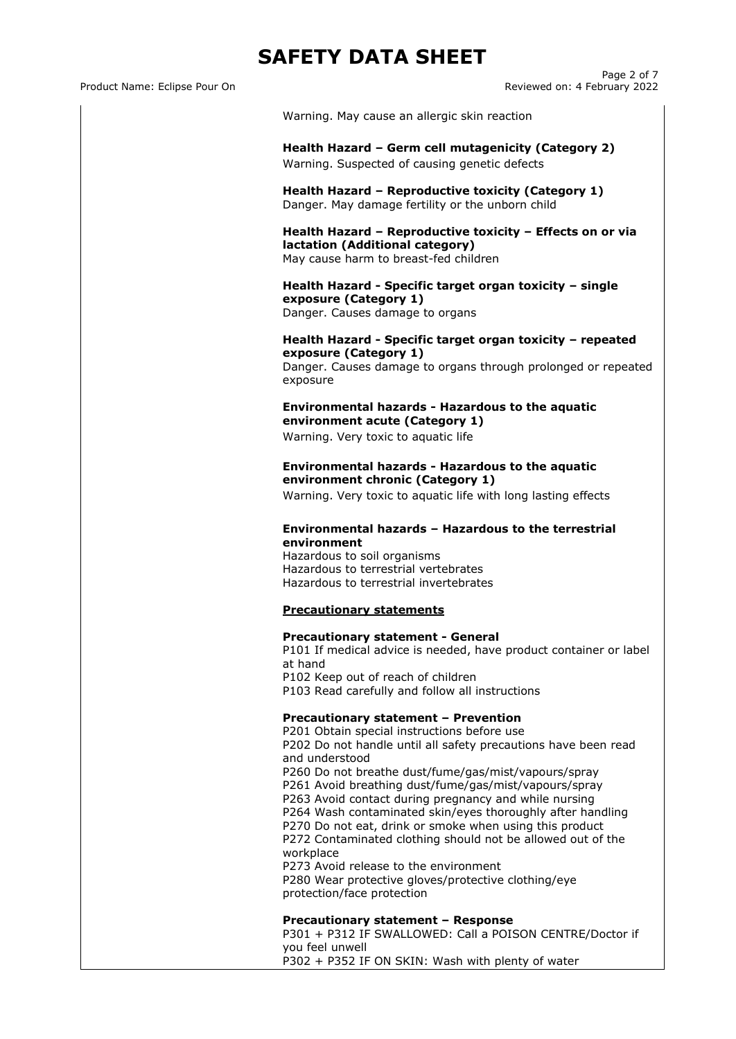# **SAFETY DATA SHEET**

Page 2 of 7 Product Name: Eclipse Pour On **Reviewed on: 4 February 2022** 

#### Warning. May cause an allergic skin reaction

**Health Hazard – Germ cell mutagenicity (Category 2)** Warning. Suspected of causing genetic defects

**Health Hazard – Reproductive toxicity (Category 1)** Danger. May damage fertility or the unborn child

**Health Hazard – Reproductive toxicity – Effects on or via lactation (Additional category)** May cause harm to breast-fed children

**Health Hazard - Specific target organ toxicity – single exposure (Category 1)** Danger. Causes damage to organs

**Health Hazard - Specific target organ toxicity – repeated exposure (Category 1)** Danger. Causes damage to organs through prolonged or repeated

### **Environmental hazards - Hazardous to the aquatic environment acute (Category 1)**

Warning. Very toxic to aquatic life

exposure

#### **Environmental hazards - Hazardous to the aquatic environment chronic (Category 1)**

Warning. Very toxic to aquatic life with long lasting effects

#### **Environmental hazards – Hazardous to the terrestrial environment**

Hazardous to soil organisms Hazardous to terrestrial vertebrates Hazardous to terrestrial invertebrates

#### **Precautionary statements**

#### **Precautionary statement - General**

P101 If medical advice is needed, have product container or label at hand P102 Keep out of reach of children P103 Read carefully and follow all instructions

#### **Precautionary statement – Prevention**

P201 Obtain special instructions before use P202 Do not handle until all safety precautions have been read and understood P260 Do not breathe dust/fume/gas/mist/vapours/spray P261 Avoid breathing dust/fume/gas/mist/vapours/spray P263 Avoid contact during pregnancy and while nursing P264 Wash contaminated skin/eyes thoroughly after handling P270 Do not eat, drink or smoke when using this product P272 Contaminated clothing should not be allowed out of the workplace P273 Avoid release to the environment P280 Wear protective gloves/protective clothing/eye protection/face protection

#### **Precautionary statement – Response**

P301 + P312 IF SWALLOWED: Call a POISON CENTRE/Doctor if you feel unwell P302 + P352 IF ON SKIN: Wash with plenty of water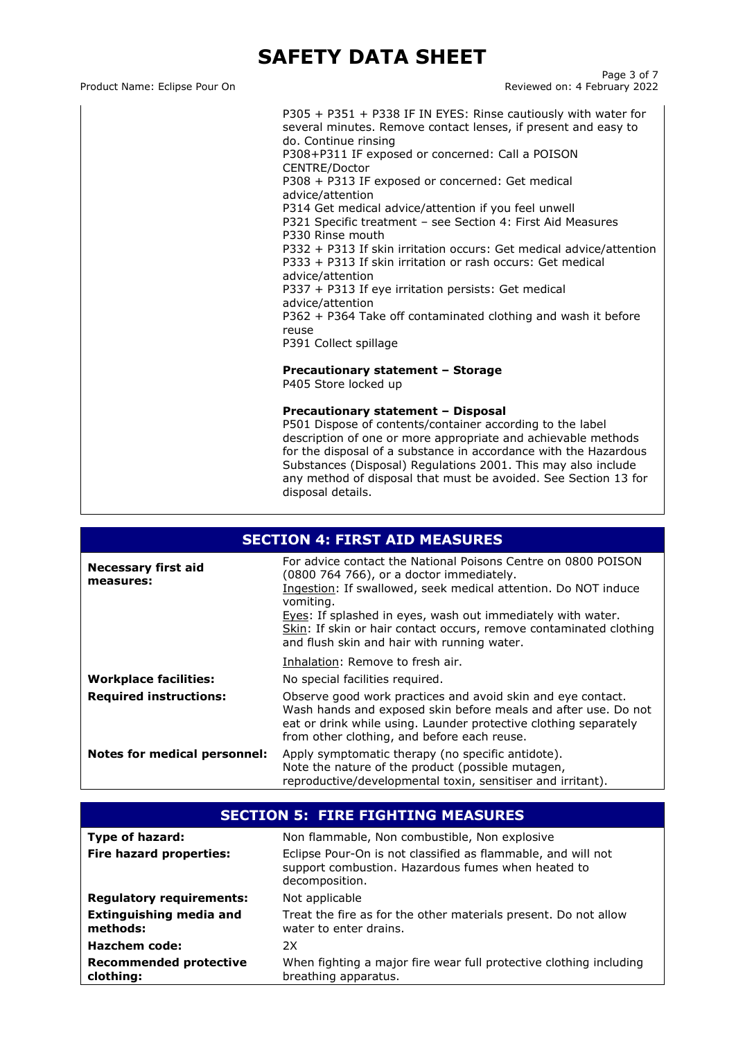# **SAFETY DATA SHEET**

Product Name: Eclipse Pour On **Reviewed On: 4 February 2022** 

Page 3 of 7

P305 + P351 + P338 IF IN EYES: Rinse cautiously with water for several minutes. Remove contact lenses, if present and easy to do. Continue rinsing P308+P311 IF exposed or concerned: Call a POISON CENTRE/Doctor P308 + P313 IF exposed or concerned: Get medical advice/attention P314 Get medical advice/attention if you feel unwell P321 Specific treatment – see Section 4: First Aid Measures P330 Rinse mouth P332 + P313 If skin irritation occurs: Get medical advice/attention P333 + P313 If skin irritation or rash occurs: Get medical advice/attention P337 + P313 If eye irritation persists: Get medical advice/attention P362 + P364 Take off contaminated clothing and wash it before reuse P391 Collect spillage

**Precautionary statement – Storage** P405 Store locked up

#### **Precautionary statement – Disposal**

P501 Dispose of contents/container according to the label description of one or more appropriate and achievable methods for the disposal of a substance in accordance with the Hazardous Substances (Disposal) Regulations 2001. This may also include any method of disposal that must be avoided. See Section 13 for disposal details.

| <b>SECTION 4: FIRST AID MEASURES</b> |                                                                                                                                                                                                                                                                                                                                                                              |
|--------------------------------------|------------------------------------------------------------------------------------------------------------------------------------------------------------------------------------------------------------------------------------------------------------------------------------------------------------------------------------------------------------------------------|
| Necessary first aid<br>measures:     | For advice contact the National Poisons Centre on 0800 POISON<br>(0800 764 766), or a doctor immediately.<br>Ingestion: If swallowed, seek medical attention. Do NOT induce<br>vomiting.<br>Eyes: If splashed in eyes, wash out immediately with water.<br>Skin: If skin or hair contact occurs, remove contaminated clothing<br>and flush skin and hair with running water. |
|                                      | Inhalation: Remove to fresh air.                                                                                                                                                                                                                                                                                                                                             |
| <b>Workplace facilities:</b>         | No special facilities required.                                                                                                                                                                                                                                                                                                                                              |
| <b>Required instructions:</b>        | Observe good work practices and avoid skin and eye contact.<br>Wash hands and exposed skin before meals and after use. Do not<br>eat or drink while using. Launder protective clothing separately<br>from other clothing, and before each reuse.                                                                                                                             |
| <b>Notes for medical personnel:</b>  | Apply symptomatic therapy (no specific antidote).<br>Note the nature of the product (possible mutagen,<br>reproductive/developmental toxin, sensitiser and irritant).                                                                                                                                                                                                        |

### **SECTION 5: FIRE FIGHTING MEASURES**

| Type of hazard:                            | Non flammable, Non combustible, Non explosive                                                                                        |
|--------------------------------------------|--------------------------------------------------------------------------------------------------------------------------------------|
| <b>Fire hazard properties:</b>             | Eclipse Pour-On is not classified as flammable, and will not<br>support combustion. Hazardous fumes when heated to<br>decomposition. |
| <b>Regulatory requirements:</b>            | Not applicable                                                                                                                       |
| <b>Extinguishing media and</b><br>methods: | Treat the fire as for the other materials present. Do not allow<br>water to enter drains.                                            |
| Hazchem code:                              | 2X                                                                                                                                   |
| <b>Recommended protective</b><br>clothing: | When fighting a major fire wear full protective clothing including<br>breathing apparatus.                                           |
|                                            |                                                                                                                                      |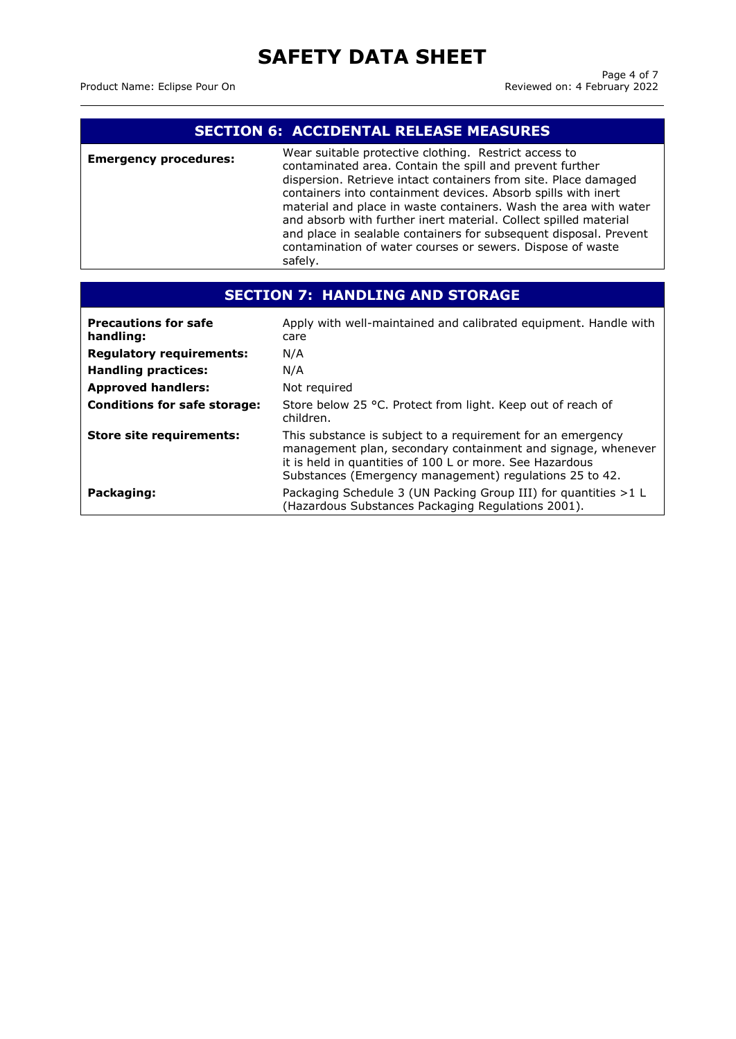### **SECTION 6: ACCIDENTAL RELEASE MEASURES**

| <b>Emergency procedures:</b> |  |  |
|------------------------------|--|--|
|                              |  |  |

**Emergency procedures:** Wear suitable protective clothing. Restrict access to contaminated area. Contain the spill and prevent further dispersion. Retrieve intact containers from site. Place damaged containers into containment devices. Absorb spills with inert material and place in waste containers. Wash the area with water and absorb with further inert material. Collect spilled material and place in sealable containers for subsequent disposal. Prevent contamination of water courses or sewers. Dispose of waste safely.

### **SECTION 7: HANDLING AND STORAGE**

| <b>Precautions for safe</b><br>handling: | Apply with well-maintained and calibrated equipment. Handle with<br>care                                                                                                                                                                           |
|------------------------------------------|----------------------------------------------------------------------------------------------------------------------------------------------------------------------------------------------------------------------------------------------------|
| <b>Regulatory requirements:</b>          | N/A                                                                                                                                                                                                                                                |
| <b>Handling practices:</b>               | N/A                                                                                                                                                                                                                                                |
| <b>Approved handlers:</b>                | Not required                                                                                                                                                                                                                                       |
| <b>Conditions for safe storage:</b>      | Store below 25 °C. Protect from light. Keep out of reach of<br>children.                                                                                                                                                                           |
| <b>Store site requirements:</b>          | This substance is subject to a requirement for an emergency<br>management plan, secondary containment and signage, whenever<br>it is held in quantities of 100 L or more. See Hazardous<br>Substances (Emergency management) regulations 25 to 42. |
| Packaging:                               | Packaging Schedule 3 (UN Packing Group III) for quantities >1 L<br>(Hazardous Substances Packaging Regulations 2001).                                                                                                                              |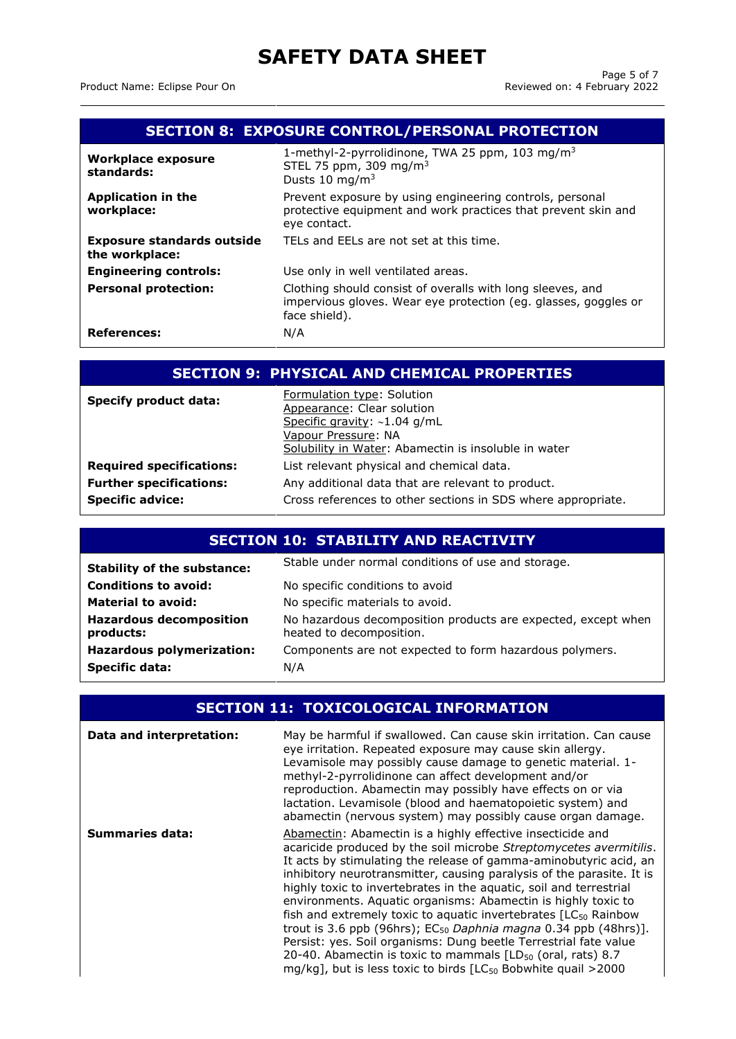## **SECTION 8: EXPOSURE CONTROL/PERSONAL PROTECTION**

| Workplace exposure<br>standards:                    | 1-methyl-2-pyrrolidinone, TWA 25 ppm, 103 mg/m <sup>3</sup><br>STEL 75 ppm, 309 mg/m <sup>3</sup><br>Dusts 10 mg/m <sup>3</sup>                |
|-----------------------------------------------------|------------------------------------------------------------------------------------------------------------------------------------------------|
| Application in the<br>workplace:                    | Prevent exposure by using engineering controls, personal<br>protective equipment and work practices that prevent skin and<br>eye contact.      |
| <b>Exposure standards outside</b><br>the workplace: | TELs and EELs are not set at this time.                                                                                                        |
| <b>Engineering controls:</b>                        | Use only in well ventilated areas.                                                                                                             |
| <b>Personal protection:</b>                         | Clothing should consist of overalls with long sleeves, and<br>impervious gloves. Wear eye protection (eg. glasses, goggles or<br>face shield). |
| <b>References:</b>                                  | N/A                                                                                                                                            |

### **SECTION 9: PHYSICAL AND CHEMICAL PROPERTIES**

| <b>Specify product data:</b>    | Formulation type: Solution<br>Appearance: Clear solution<br>Specific gravity: $~1.04$ g/mL<br>Vapour Pressure: NA<br>Solubility in Water: Abamectin is insoluble in water |
|---------------------------------|---------------------------------------------------------------------------------------------------------------------------------------------------------------------------|
| <b>Required specifications:</b> | List relevant physical and chemical data.                                                                                                                                 |
| <b>Further specifications:</b>  | Any additional data that are relevant to product.                                                                                                                         |
| <b>Specific advice:</b>         | Cross references to other sections in SDS where appropriate.                                                                                                              |

# **SECTION 10: STABILITY AND REACTIVITY**

| <b>Stability of the substance:</b>          | Stable under normal conditions of use and storage.                                        |
|---------------------------------------------|-------------------------------------------------------------------------------------------|
| <b>Conditions to avoid:</b>                 | No specific conditions to avoid                                                           |
| <b>Material to avoid:</b>                   | No specific materials to avoid.                                                           |
| <b>Hazardous decomposition</b><br>products: | No hazardous decomposition products are expected, except when<br>heated to decomposition. |
| <b>Hazardous polymerization:</b>            | Components are not expected to form hazardous polymers.                                   |
| <b>Specific data:</b>                       | N/A                                                                                       |

### **SECTION 11: TOXICOLOGICAL INFORMATION**

| Data and interpretation: | May be harmful if swallowed. Can cause skin irritation. Can cause<br>eye irritation. Repeated exposure may cause skin allergy.<br>Levamisole may possibly cause damage to genetic material. 1-<br>methyl-2-pyrrolidinone can affect development and/or<br>reproduction. Abamectin may possibly have effects on or via<br>lactation. Levamisole (blood and haematopoietic system) and<br>abamectin (nervous system) may possibly cause organ damage.                                                                                                                                                                                                                                                                                                                                        |
|--------------------------|--------------------------------------------------------------------------------------------------------------------------------------------------------------------------------------------------------------------------------------------------------------------------------------------------------------------------------------------------------------------------------------------------------------------------------------------------------------------------------------------------------------------------------------------------------------------------------------------------------------------------------------------------------------------------------------------------------------------------------------------------------------------------------------------|
| Summaries data:          | Abamectin: Abamectin is a highly effective insecticide and<br>acaricide produced by the soil microbe Streptomycetes avermitilis.<br>It acts by stimulating the release of gamma-aminobutyric acid, an<br>inhibitory neurotransmitter, causing paralysis of the parasite. It is<br>highly toxic to invertebrates in the aquatic, soil and terrestrial<br>environments. Aquatic organisms: Abamectin is highly toxic to<br>fish and extremely toxic to aquatic invertebrates $[LC_{50}$ Rainbow<br>trout is 3.6 ppb (96hrs); EC <sub>50</sub> Daphnia magna 0.34 ppb (48hrs)].<br>Persist: yes. Soil organisms: Dung beetle Terrestrial fate value<br>20-40. Abamectin is toxic to mammals $[LD_{50}$ (oral, rats) 8.7<br>mg/kg], but is less toxic to birds $[LC_{50}$ Bobwhite quail >2000 |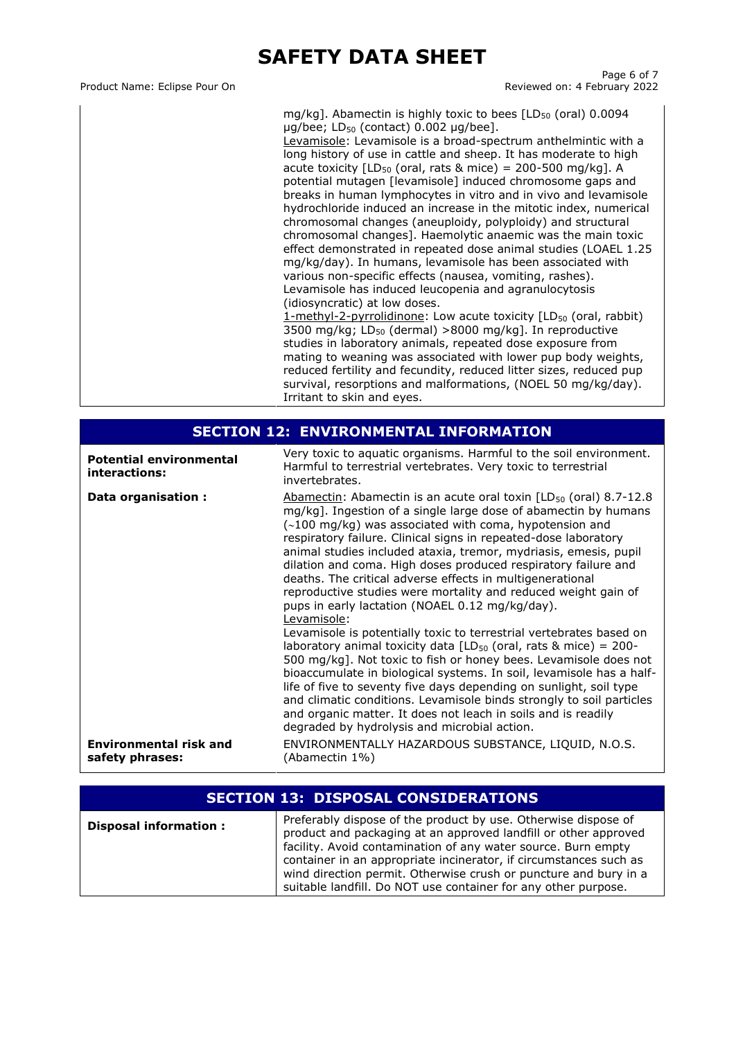# **SAFETY DATA SHEET**

Product Name: Eclipse Pour On

Page 6 of 7<br>Reviewed on: 4 February 2022

mg/kg]. Abamectin is highly toxic to bees  $[LD_{50}$  (oral) 0.0094  $\mu$ g/bee; LD<sub>50</sub> (contact) 0.002  $\mu$ g/bee]. Levamisole: Levamisole is a broad-spectrum anthelmintic with a

long history of use in cattle and sheep. It has moderate to high acute toxicity  $[LD_{50}$  (oral, rats & mice) = 200-500 mg/kg]. A potential mutagen [levamisole] induced chromosome gaps and breaks in human lymphocytes in vitro and in vivo and levamisole hydrochloride induced an increase in the mitotic index, numerical chromosomal changes (aneuploidy, polyploidy) and structural chromosomal changes]. Haemolytic anaemic was the main toxic effect demonstrated in repeated dose animal studies (LOAEL 1.25 mg/kg/day). In humans, levamisole has been associated with various non-specific effects (nausea, vomiting, rashes). Levamisole has induced leucopenia and agranulocytosis (idiosyncratic) at low doses.

1-methyl-2-pyrrolidinone: Low acute toxicity [LD<sub>50</sub> (oral, rabbit) 3500 mg/kg; LD<sub>50</sub> (dermal) >8000 mg/kg]. In reproductive studies in laboratory animals, repeated dose exposure from mating to weaning was associated with lower pup body weights, reduced fertility and fecundity, reduced litter sizes, reduced pup survival, resorptions and malformations, (NOEL 50 mg/kg/day). Irritant to skin and eyes.

| <b>SECTION 12: ENVIRONMENTAL INFORMATION</b>     |                                                                                                                                                                                                                                                                                                                                                                                                                                                                                                                                                                                                                                                                                                                                                                                                                                                                                                                                                                                                                                                                                                                                                                                                       |  |
|--------------------------------------------------|-------------------------------------------------------------------------------------------------------------------------------------------------------------------------------------------------------------------------------------------------------------------------------------------------------------------------------------------------------------------------------------------------------------------------------------------------------------------------------------------------------------------------------------------------------------------------------------------------------------------------------------------------------------------------------------------------------------------------------------------------------------------------------------------------------------------------------------------------------------------------------------------------------------------------------------------------------------------------------------------------------------------------------------------------------------------------------------------------------------------------------------------------------------------------------------------------------|--|
| <b>Potential environmental</b><br>interactions:  | Very toxic to aquatic organisms. Harmful to the soil environment.<br>Harmful to terrestrial vertebrates. Very toxic to terrestrial<br>invertebrates.                                                                                                                                                                                                                                                                                                                                                                                                                                                                                                                                                                                                                                                                                                                                                                                                                                                                                                                                                                                                                                                  |  |
| Data organisation :                              | $\Delta$ bamectin: Abamectin is an acute oral toxin [LD <sub>50</sub> (oral) 8.7-12.8<br>mg/kg]. Ingestion of a single large dose of abamectin by humans<br>$(\sim 100 \text{ mg/kg})$ was associated with coma, hypotension and<br>respiratory failure. Clinical signs in repeated-dose laboratory<br>animal studies included ataxia, tremor, mydriasis, emesis, pupil<br>dilation and coma. High doses produced respiratory failure and<br>deaths. The critical adverse effects in multigenerational<br>reproductive studies were mortality and reduced weight gain of<br>pups in early lactation (NOAEL 0.12 mg/kg/day).<br>Levamisole:<br>Levamisole is potentially toxic to terrestrial vertebrates based on<br>laboratory animal toxicity data $[LD_{50}$ (oral, rats & mice) = 200-<br>500 mg/kg]. Not toxic to fish or honey bees. Levamisole does not<br>bioaccumulate in biological systems. In soil, levamisole has a half-<br>life of five to seventy five days depending on sunlight, soil type<br>and climatic conditions. Levamisole binds strongly to soil particles<br>and organic matter. It does not leach in soils and is readily<br>degraded by hydrolysis and microbial action. |  |
| <b>Environmental risk and</b><br>safety phrases: | ENVIRONMENTALLY HAZARDOUS SUBSTANCE, LIQUID, N.O.S.<br>(Abamectin 1%)                                                                                                                                                                                                                                                                                                                                                                                                                                                                                                                                                                                                                                                                                                                                                                                                                                                                                                                                                                                                                                                                                                                                 |  |

| <b>SECTION 13: DISPOSAL CONSIDERATIONS</b> |                                                                                                                                                                                                                                                                                                                                                                                                               |
|--------------------------------------------|---------------------------------------------------------------------------------------------------------------------------------------------------------------------------------------------------------------------------------------------------------------------------------------------------------------------------------------------------------------------------------------------------------------|
| <b>Disposal information:</b>               | Preferably dispose of the product by use. Otherwise dispose of<br>product and packaging at an approved landfill or other approved<br>facility. Avoid contamination of any water source. Burn empty<br>container in an appropriate incinerator, if circumstances such as<br>wind direction permit. Otherwise crush or puncture and bury in a<br>suitable landfill. Do NOT use container for any other purpose. |